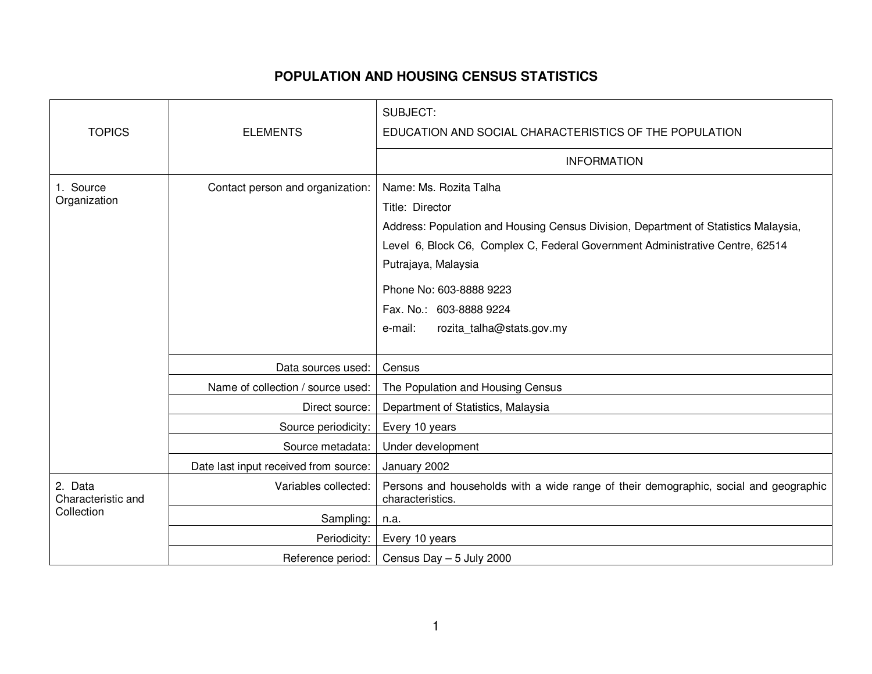## **POPULATION AND HOUSING CENSUS STATISTICS**

|                                             |                                       | SUBJECT:                                                                                                                                                                                                                                                                                                                               |
|---------------------------------------------|---------------------------------------|----------------------------------------------------------------------------------------------------------------------------------------------------------------------------------------------------------------------------------------------------------------------------------------------------------------------------------------|
| <b>TOPICS</b>                               | <b>ELEMENTS</b>                       | EDUCATION AND SOCIAL CHARACTERISTICS OF THE POPULATION                                                                                                                                                                                                                                                                                 |
|                                             |                                       | <b>INFORMATION</b>                                                                                                                                                                                                                                                                                                                     |
| 1. Source<br>Organization                   | Contact person and organization:      | Name: Ms. Rozita Talha<br>Title: Director<br>Address: Population and Housing Census Division, Department of Statistics Malaysia,<br>Level 6, Block C6, Complex C, Federal Government Administrative Centre, 62514<br>Putrajaya, Malaysia<br>Phone No: 603-8888 9223<br>Fax. No.: 603-8888 9224<br>e-mail:<br>rozita_talha@stats.gov.my |
|                                             | Data sources used:                    | Census                                                                                                                                                                                                                                                                                                                                 |
|                                             | Name of collection / source used:     | The Population and Housing Census                                                                                                                                                                                                                                                                                                      |
|                                             | Direct source:                        | Department of Statistics, Malaysia                                                                                                                                                                                                                                                                                                     |
|                                             | Source periodicity:                   | Every 10 years                                                                                                                                                                                                                                                                                                                         |
|                                             | Source metadata:                      | Under development                                                                                                                                                                                                                                                                                                                      |
|                                             | Date last input received from source: | January 2002                                                                                                                                                                                                                                                                                                                           |
| 2. Data<br>Characteristic and<br>Collection | Variables collected:                  | Persons and households with a wide range of their demographic, social and geographic<br>characteristics.                                                                                                                                                                                                                               |
|                                             | Sampling:                             | n.a.                                                                                                                                                                                                                                                                                                                                   |
|                                             | Periodicity:                          | Every 10 years                                                                                                                                                                                                                                                                                                                         |
|                                             | Reference period:                     | Census Day $-5$ July 2000                                                                                                                                                                                                                                                                                                              |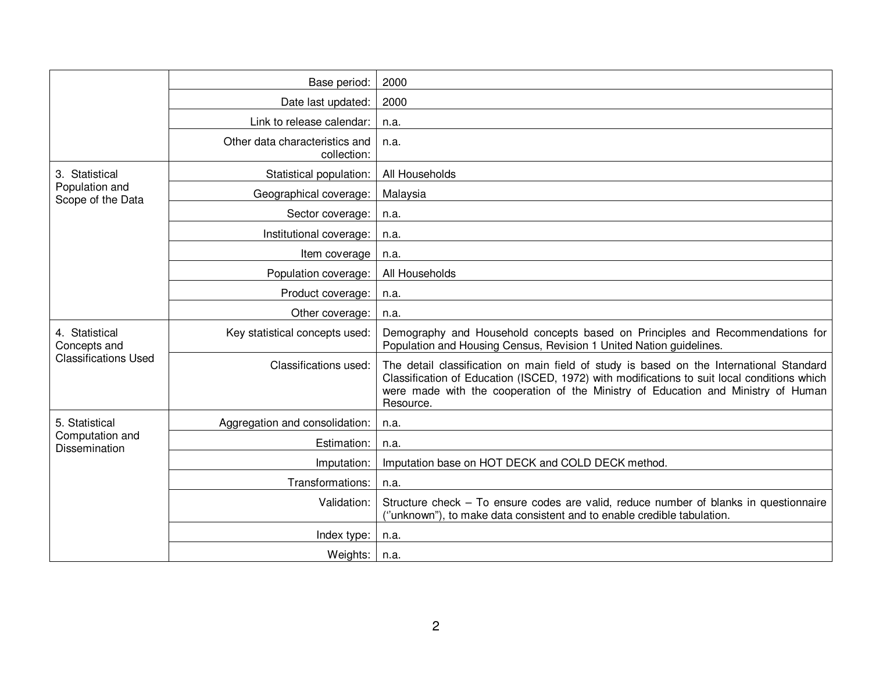|                                                               | Base period:                                  | 2000                                                                                                                                                                                                                                                                                     |
|---------------------------------------------------------------|-----------------------------------------------|------------------------------------------------------------------------------------------------------------------------------------------------------------------------------------------------------------------------------------------------------------------------------------------|
|                                                               | Date last updated:                            | 2000                                                                                                                                                                                                                                                                                     |
|                                                               | Link to release calendar:                     | n.a.                                                                                                                                                                                                                                                                                     |
|                                                               | Other data characteristics and<br>collection: | n.a.                                                                                                                                                                                                                                                                                     |
| 3. Statistical<br>Population and<br>Scope of the Data         | Statistical population:                       | All Households                                                                                                                                                                                                                                                                           |
|                                                               | Geographical coverage:                        | Malaysia                                                                                                                                                                                                                                                                                 |
|                                                               | Sector coverage:                              | n.a.                                                                                                                                                                                                                                                                                     |
|                                                               | Institutional coverage:                       | n.a.                                                                                                                                                                                                                                                                                     |
|                                                               | Item coverage                                 | n.a.                                                                                                                                                                                                                                                                                     |
|                                                               | Population coverage:                          | All Households                                                                                                                                                                                                                                                                           |
|                                                               | Product coverage:                             | n.a.                                                                                                                                                                                                                                                                                     |
|                                                               | Other coverage:                               | n.a.                                                                                                                                                                                                                                                                                     |
| 4. Statistical<br>Concepts and<br><b>Classifications Used</b> | Key statistical concepts used:                | Demography and Household concepts based on Principles and Recommendations for<br>Population and Housing Census, Revision 1 United Nation guidelines.                                                                                                                                     |
|                                                               | Classifications used:                         | The detail classification on main field of study is based on the International Standard<br>Classification of Education (ISCED, 1972) with modifications to suit local conditions which<br>were made with the cooperation of the Ministry of Education and Ministry of Human<br>Resource. |
| 5. Statistical<br>Computation and<br><b>Dissemination</b>     | Aggregation and consolidation:                | n.a.                                                                                                                                                                                                                                                                                     |
|                                                               | Estimation:                                   | n.a.                                                                                                                                                                                                                                                                                     |
|                                                               | Imputation:                                   | Imputation base on HOT DECK and COLD DECK method.                                                                                                                                                                                                                                        |
|                                                               | Transformations:                              | n.a.                                                                                                                                                                                                                                                                                     |
|                                                               | Validation:                                   | Structure check - To ensure codes are valid, reduce number of blanks in questionnaire<br>("unknown"), to make data consistent and to enable credible tabulation.                                                                                                                         |
|                                                               | Index type:                                   | n.a.                                                                                                                                                                                                                                                                                     |
|                                                               | Weights:                                      | n.a.                                                                                                                                                                                                                                                                                     |